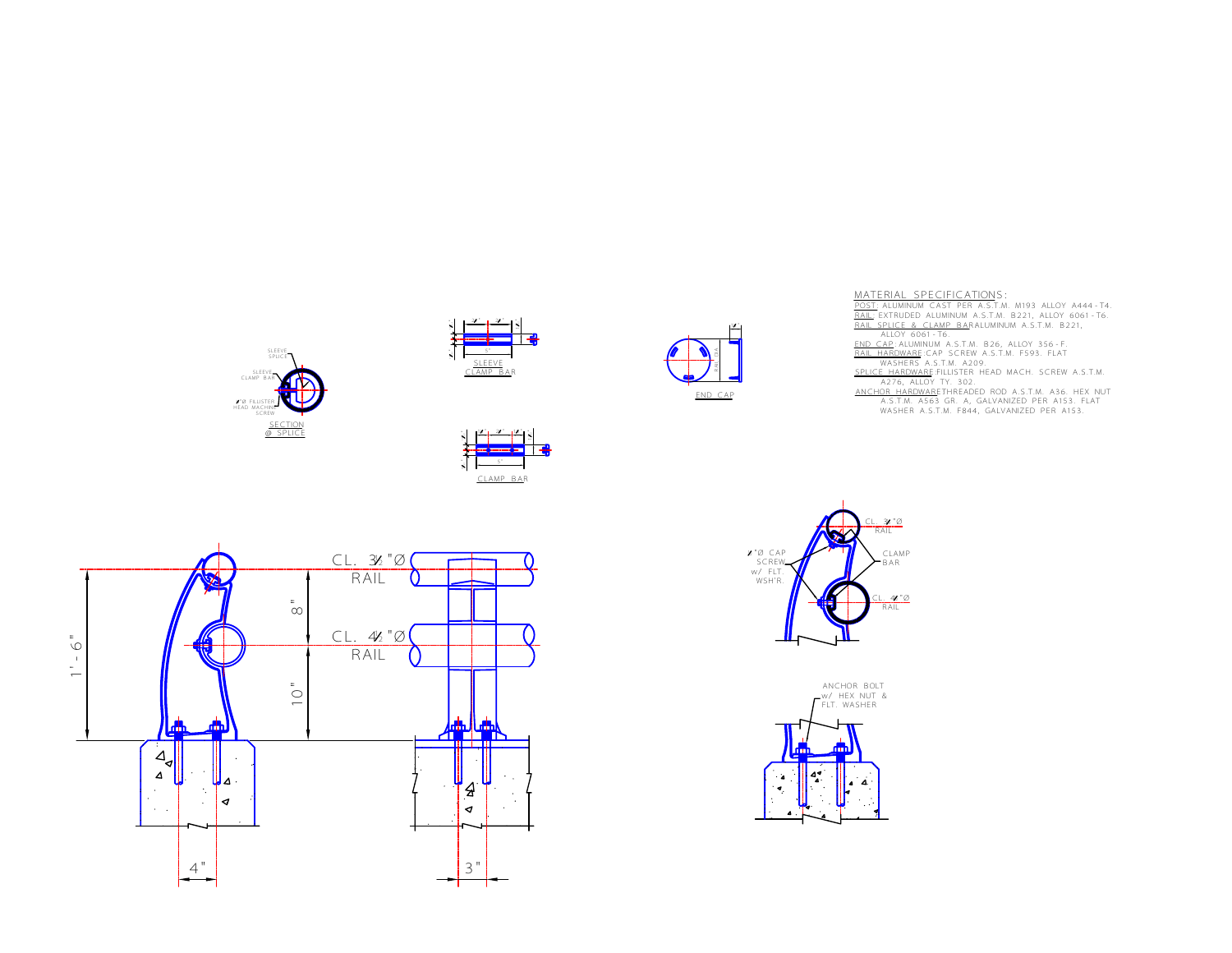











MATERIAL SPECIFICATIONS:<br>POST: ALUMINUM CAST PER A.S.T.M. M193 ALLOY A444-T4.<br><u>RAIL</u>: EXTRUDED ALUMINUM A.S.T.M. B221, ALLOY 6061-T6.<br><u>RAIL: EXTRUDED ALUMINUM A.S.T.M. B221, ALLOY 6061-T6.<br><u>END CAP</u>: ALUMINUM A.S.T.M. B26,</u>

SPLICE HARDWARE: FILLISTER HEAD MACH. SCREW A.S.T.M.<br>ANCHOR HARDWARETHREADED ROD A.S.T.M. A36. HEX NUT<br>ANCHOR HARDWARETHREADED ROD A.S.T.M. A36. HEX NUT<br>WASHER A.S.T.M. F844, GALVANIZED PER A153.<br>WASHER A.S.T.M. F844, GALV